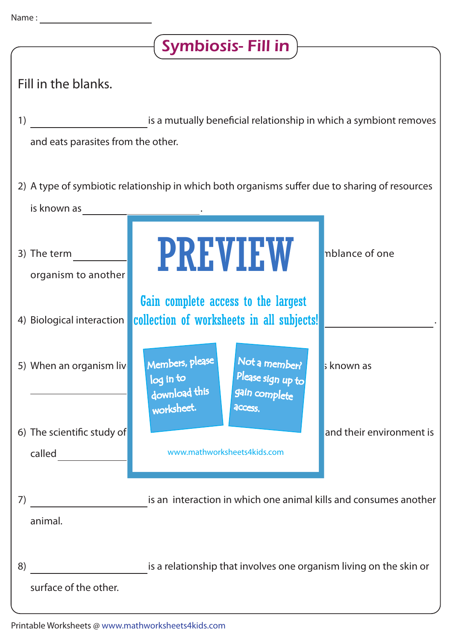